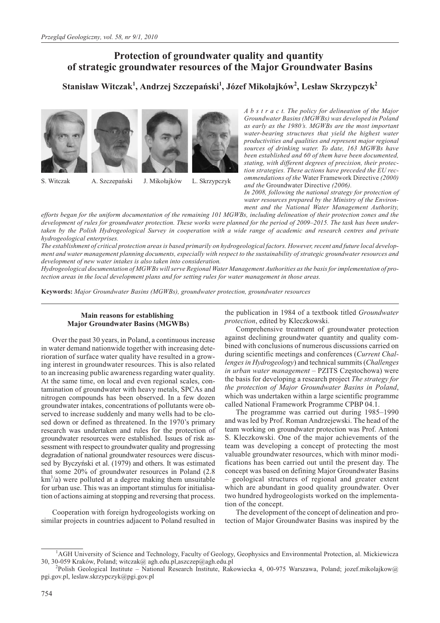# **Protection of groundwater quality and quantity of strategic groundwater resources of the Major Groundwater Basins**

 $\boldsymbol{\lambda}$ Stanisław Witczak $^1$ , Andrzej Szczepański $^1$ , Józef Mikołajków $^2$ , Lesław Skrzypczyk $^2$ 







S. Witczak A. Szczepański J. Mikołajków L. Skrzypczyk

*A b s t r a c t. The policy for delineation of the Major Groundwater Basins (MGWBs) was developed in Poland as early as the 1980's. MGWBs are the most important water-bearing structures that yield the highest water productivities and qualities and represent major regional sources of drinking water. To date, 163 MGWBs have been established and 60 of them have been documented, stating, with different degrees of precision, their protection strategies. These actions have preceded the EU recommendations of the* Water Framework Directive *(2000) and the* Groundwater Directive *(2006).*

*In 2008, following the national strategy for protection of water resources prepared by the Ministry of the Environment and the National Water Management Authority,*

*efforts began for the uniform documentation of the remaining 101 MGWBs, including delineation of their protection zones and the development of rules for groundwater protection. These works were planned for the period of 2009–2015. The task has been undertaken by the Polish Hydrogeological Survey in cooperation with a wide range of academic and research centres and private hydrogeological enterprises.*

*The establishment of critical protection areas is based primarily on hydrogeological factors. However, recent and future local development and water management planning documents, especially with respect to the sustainability of strategic groundwater resources and development of new water intakes is also taken into consideration.*

*Hydrogeological documentation of MGWBs will serve Regional Water Management Authorities as the basis for implementation of protection areas in the local development plans and for setting rules for water management in those areas.*

**Keywords:** *Major Groundwater Basins (MGWBs), groundwater protection, groundwater resources*

# **Main reasons for establishing Major Groundwater Basins (MGWBs)**

Over the past 30 years, in Poland, a continuous increase in water demand nationwide together with increasing deterioration of surface water quality have resulted in a growing interest in groundwater resources. This is also related to an increasing public awareness regarding water quality. At the same time, on local and even regional scales, contamination of groundwater with heavy metals, SPCAs and nitrogen compounds has been observed. In a few dozen groundwater intakes, concentrations of pollutants were observed to increase suddenly and many wells had to be closed down or defined as threatened. In the 1970's primary research was undertaken and rules for the protection of groundwater resources were established. Issues of risk assessment with respect to groundwater quality and progressing degradation of national groundwater resources were discussed by Byczyñski et al. (1979) and others. It was estimated that some 20% of groundwater resources in Poland (2.8 km<sup>3</sup>/a) were polluted at a degree making them unsuitable for urban use. This was an important stimulus for initialisation of actions aiming at stopping and reversing that process.

Cooperation with foreign hydrogeologists working on similar projects in countries adjacent to Poland resulted in the publication in 1984 of a textbook titled *Groundwater protection*, edited by Kleczkowski.

Comprehensive treatment of groundwater protection against declining groundwater quantity and quality combined with conclusions of numerous discussions carried on during scientific meetings and conferences (*Current Challenges in Hydrogeology*) and technical summits (*Challenges in urban water management* – PZITS Częstochowa) were the basis for developing a research project *The strategy for the protection of Major Groundwater Basins in Poland*, which was undertaken within a large scientific programme called National Framework Programme CPBP 04.1.

The programme was carried out during 1985–1990 and was led by Prof. Roman Andrzejewski. The head of the team working on groundwater protection was Prof. Antoni S. Kleczkowski. One of the major achievements of the team was developing a concept of protecting the most valuable groundwater resources, which with minor modifications has been carried out until the present day. The concept was based on defining Major Groundwater Basins – geological structures of regional and greater extent which are abundant in good quality groundwater. Over two hundred hydrogeologists worked on the implementation of the concept.

The development of the concept of delineation and protection of Major Groundwater Basins was inspired by the

<sup>&</sup>lt;sup>1</sup>AGH University of Science and Technology, Faculty of Geology, Geophysics and Environmental Protection, al. Mickiewicza 30, 30-059 Kraków, Poland; witczak@ agh.edu.pl,aszczep@agh.edu.pl <sup>2</sup>

Polish Geological Institute – National Research Institute, Rakowiecka 4, 00-975 Warszawa, Poland; jozef.mikolajkow@ pgi.gov.pl, leslaw.skrzypczyk@pgi.gov.pl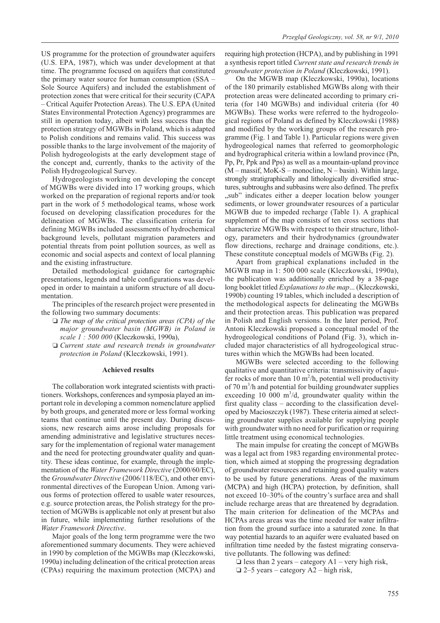US programme for the protection of groundwater aquifers (U.S. EPA, 1987), which was under development at that time. The programme focused on aquifers that constituted the primary water source for human consumption (SSA – Sole Source Aquifers) and included the establishment of protection zones that were critical for their security (CAPA – Critical Aquifer Protection Areas). The U.S. EPA (United States Environmental Protection Agency) programmes are still in operation today, albeit with less success than the protection strategy of MGWBs in Poland, which is adapted to Polish conditions and remains valid. This success was possible thanks to the large involvement of the majority of Polish hydrogeologists at the early development stage of the concept and, currently, thanks to the activity of the Polish Hydrogeological Survey.

Hydrogeologists working on developing the concept of MGWBs were divided into 17 working groups, which worked on the preparation of regional reports and/or took part in the work of 5 methodological teams, whose work focused on developing classification procedures for the delineation of MGWBs. The classification criteria for defining MGWBs included assessments of hydrochemical background levels, pollutant migration parameters and potential threats from point pollution sources, as well as economic and social aspects and context of local planning and the existing infrastructure.

Detailed methodological guidance for cartographic presentations, legends and table configurations was developed in order to maintain a uniform structure of all documentation.

The principles of the research project were presented in the following two summary documents:

- *The map of the critical protection areas (CPA) of the major groundwater basin (MGWB) in Poland in scale 1 : 500 000* (Kleczkowski, 1990a),
- *Current state and research trends in groundwater protection in Poland* (Kleczkowski, 1991).

### **Achieved results**

The collaboration work integrated scientists with practitioners. Workshops, conferences and symposia played an important role in developing a common nomenclature applied by both groups, and generated more or less formal working teams that continue until the present day. During discussions, new research aims arose including proposals for amending administrative and legislative structures necessary for the implementation of regional water management and the need for protecting groundwater quality and quantity. These ideas continue, for example, through the implementation of the *Water Framework Directive* (2000/60/EC), the *Groundwater Directive* (2006/118/EC), and other environmental directives of the European Union. Among various forms of protection offered to usable water resources, e.g. source protection areas, the Polish strategy for the protection of MGWBs is applicable not only at present but also in future, while implementing further resolutions of the *Water Framework Directive*.

Major goals of the long term programme were the two aforementioned summary documents. They were achieved in 1990 by completion of the MGWBs map (Kleczkowski, 1990a) including delineation of the critical protection areas (CPAs) requiring the maximum protection (MCPA) and requiring high protection (HCPA), and by publishing in 1991 a synthesis report titled *Current state and research trends in groundwater protection in Poland* (Kleczkowski, 1991).

On the MGWB map (Kleczkowski, 1990a), locations of the 180 primarily established MGWBs along with their protection areas were delineated according to primary criteria (for 140 MGWBs) and individual criteria (for 40 MGWBs). These works were referred to the hydrogeological regions of Poland as defined by Kleczkowski (1988) and modified by the working groups of the research programme (Fig. 1 and Table 1). Particular regions were given hydrogeological names that referred to geomorphologic and hydrographical criteria within a lowland province (Pn, Pp, Pr, Ppk and Pps) as well as a mountain-upland province  $(M - massif, MoK-S - monocline, N - basin)$ . Within large, strongly stratigraphically and lithologically diversified structures, subtroughs and subbasins were also defined. The prefix ", sub" indicates either a deeper location below younger sediments, or lower groundwater resources of a particular MGWB due to impeded recharge (Table 1). A graphical supplement of the map consists of ten cross sections that characterize MGWBs with respect to their structure, lithology, parameters and their hydrodynamics (groundwater flow directions, recharge and drainage conditions, etc.). These constitute conceptual models of MGWBs (Fig. 2).

Apart from graphical explanations included in the MGWB map in 1: 500 000 scale (Kleczkowski, 1990a), the publication was additionally enriched by a 38-page long booklet titled *Explanations to the map*... (Kleczkowski, 1990b) counting 19 tables, which included a description of the methodological aspects for delineating the MGWBs and their protection areas. This publication was prepared in Polish and English versions. In the later period, Prof. Antoni Kleczkowski proposed a conceptual model of the hydrogeological conditions of Poland (Fig. 3), which included major characteristics of all hydrogeological structures within which the MGWBs had been located.

MGWBs were selected according to the following qualitative and quantitative criteria: transmissivity of aquifer rocks of more than  $10 \text{ m}^2/h$ , potential well productivity of 70 m<sup>3</sup>/h and potential for building groundwater supplies exceeding 10 000  $m^3/d$ , groundwater quality within the first quality class – according to the classification developed by Macioszczyk (1987). These criteria aimed at selecting groundwater supplies available for supplying people with groundwater with no need for purification or requiring little treatment using economical technologies.

The main impulse for creating the concept of MGWBs was a legal act from 1983 regarding environmental protection, which aimed at stopping the progressing degradation of groundwater resources and retaining good quality waters to be used by future generations. Areas of the maximum (MCPA) and high (HCPA) protection, by definition, shall not exceed 10–30% of the country's surface area and shall include recharge areas that are threatened by degradation. The main criterion for delineation of the MCPAs and HCPAs areas areas was the time needed for water infiltration from the ground surface into a saturated zone. In that way potential hazards to an aquifer were evaluated based on infiltration time needed by the fastest migrating conservative pollutants. The following was defined:

 $\Box$  less than 2 years – category A1 – very high risk,

 $\Box$  2–5 years – category A2 – high risk,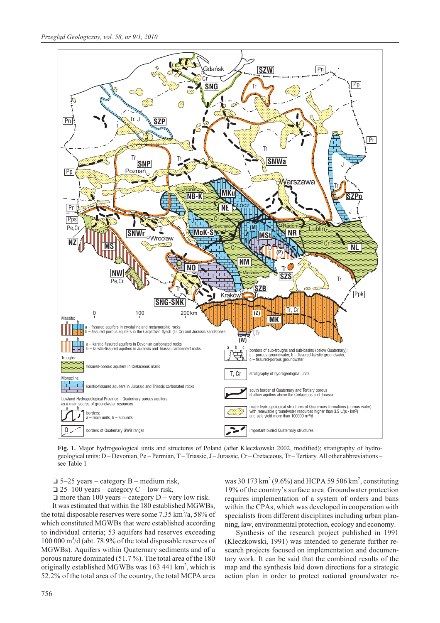

**Fig. 1.** Major hydrogeological units and structures of Poland (after Kleczkowski 2002, modified); stratigraphy of hydrogeological units: D – Devonian, Pe – Permian, T – Triassic, J – Jurassic, Cr – Cretaceous, Tr – Tertiary. All other abbreviations – see Table 1

 $\Box$  5–25 years – category B – medium risk,

 $\Box$  25–100 years – category C – low risk,

 $\Box$  more than 100 years – category  $D$  – very low risk.

It was estimated that within the 180 established MGWBs, the total disposable reserves were some  $7.35 \text{ km}^3/\text{a}$ ,  $58\%$  of which constituted MGWBs that were established according to individual criteria; 53 aquifers had reserves exceeding 100 000 m<sup>3</sup> /d (abt. 78.9% of the total disposable reserves of MGWBs). Aquifers within Quaternary sediments and of a porous nature dominated (51.7 %). The total area of the 180 originally established MGWBs was 163 441 km<sup>2</sup>, which is 52.2% of the total area of the country, the total MCPA area

was 30 173 km<sup>2</sup> (9.6%) and HCPA 59 506 km<sup>2</sup>, constituting 19% of the country's surface area. Groundwater protection requires implementation of a system of orders and bans within the CPAs, which was developed in cooperation with specialists from different disciplines including urban planning, law, environmental protection, ecology and economy.

Synthesis of the research project published in 1991 (Kleczkowski, 1991) was intended to generate further research projects focused on implementation and documentary work. It can be said that the combined results of the map and the synthesis laid down directions for a strategic action plan in order to protect national groundwater re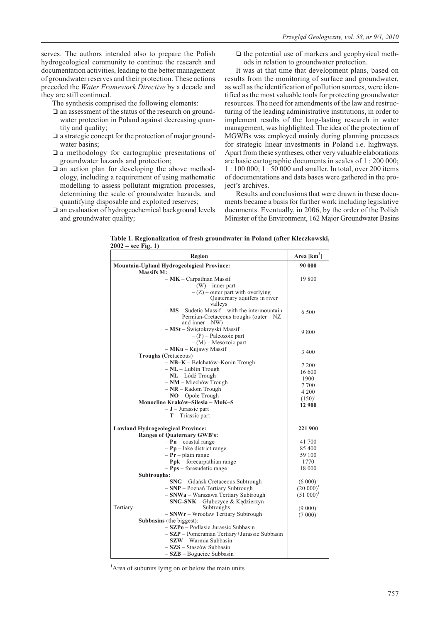serves. The authors intended also to prepare the Polish hydrogeological community to continue the research and documentation activities, leading to the better management of groundwater reserves and their protection. These actions preceded the *Water Framework Directive* by a decade and they are still continued.

The synthesis comprised the following elements:

- $\square$  an assessment of the status of the research on groundwater protection in Poland against decreasing quantity and quality;
- $\square$  a strategic concept for the protection of major groundwater basins;
- a methodology for cartographic presentations of groundwater hazards and protection;
- $\square$  an action plan for developing the above methodology, including a requirement of using mathematic modelling to assess pollutant migration processes, determining the scale of groundwater hazards, and quantifying disposable and exploited reserves;
- $\square$  an evaluation of hydrogeochemical background levels and groundwater quality;

If the potential use of markers and geophysical methods in relation to groundwater protection.

It was at that time that development plans, based on results from the monitoring of surface and groundwater, as well as the identification of pollution sources, were identified as the most valuable tools for protecting groundwater resources. The need for amendments of the law and restructuring of the leading administrative institutions, in order to implement results of the long-lasting research in water management, was highlighted. The idea of the protection of MGWBs was employed mainly during planning processes for strategic linear investments in Poland i.e. highways. Apart from these syntheses, other very valuable elaborations are basic cartographic documents in scales of 1 : 200 000; 1 : 100 000; 1 : 50 000 and smaller. In total, over 200 items of documentations and data bases were gathered in the project's archives.

Results and conclusions that were drawn in these documents became a basis for further work including legislative documents. Eventually, in 2006, by the order of the Polish Minister of the Environment, 162 Major Groundwater Basins

**Table 1. Regionalization of fresh groundwater in Poland (after Kleczkowski, 2002 – see Fig. 1)**

| Region                                                                                     | Area $[km2]$        |
|--------------------------------------------------------------------------------------------|---------------------|
| <b>Mountain-Upland Hydrogeological Province:</b>                                           | 90 000              |
| <b>Massifs M:</b>                                                                          |                     |
| $-MK-Carpathian Massif$                                                                    | 19 800              |
| $-(W)$ – inner part                                                                        |                     |
| $- (Z)$ – outer part with overlying                                                        |                     |
| Quaternary aquifers in river                                                               |                     |
| valleys                                                                                    |                     |
| $- MS - Sudetic Massif - with the intermountain$<br>Permian-Cretaceous troughs (outer – NZ | 6 500               |
| and inner $-$ NW)                                                                          |                     |
| - MSt - Świętokrzyski Massif                                                               |                     |
| $-(P)$ – Paleozoic part                                                                    | 9 800               |
| $- (M)$ – Mesozoic part                                                                    |                     |
| - MKu - Kujawy Massif                                                                      |                     |
| <b>Troughs</b> (Cretaceous)                                                                | 3 4 0 0             |
| $-$ NB-K – Bełchatów–Konin Trough                                                          |                     |
| $-NL - Lublin$ Trough                                                                      | 7 200               |
| $-NL - Lódź Trough$                                                                        | 16 600              |
| $-NM$ – Miechów Trough                                                                     | 1900                |
| $-NR - Radom$ Trough                                                                       | 7 700               |
| $-NO$ - Opole Trough                                                                       | 4 200               |
| Monocline Kraków-Silesia - MoK-S                                                           | $(150)^1$<br>12 900 |
| $-J$ – Jurassic part                                                                       |                     |
| $-$ <b>T</b> $-$ Triassic part                                                             |                     |
| <b>Lowland Hydrogeological Province:</b>                                                   | 221 900             |
| <b>Ranges of Quaternary GWB's:</b>                                                         |                     |
| $-$ Pn – coastal range                                                                     | 41 700              |
| $-$ Pp – lake district range                                                               | 85 400              |
| $-Pr$ – plain range                                                                        | 59 100              |
| $-$ Ppk – forecarpathian range                                                             | 1770                |
| $-$ Pps – foresudetic range                                                                | 18 000              |
| Subtroughs:                                                                                |                     |
| - SNG - Gdańsk Cretaceous Subtrough                                                        | $(6 000)^1$         |
| - SNP - Poznań Tertiary Subtrough                                                          | $(20\ 000)^1$       |
| - SNWa - Warszawa Tertiary Subtrough                                                       | $(51 000)^1$        |
| - SNG-SNK - Głubczyce & Kędzierzyn                                                         |                     |
| Tertiary<br>Subtroughs                                                                     | $(9 000)^1$         |
| - SNWr - Wrocław Tertiary Subtrough                                                        | $(7 000)^1$         |
| Subbasins (the biggest):                                                                   |                     |
| $-$ SZP $\bf{0}$ – Podlasie Jurassic Subbasin                                              |                     |
| - SZP - Pomeranian Tertiary+Jurassic Subbasin                                              |                     |
| - SZW - Warmia Subbasin                                                                    |                     |
| - SZS - Staszów Subbasin                                                                   |                     |
| $-$ SZB – Bogucice Subbasin                                                                |                     |

<sup>1</sup>Area of subunits lying on or below the main units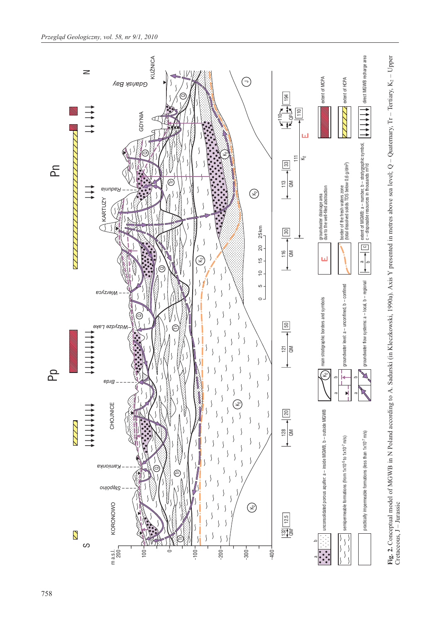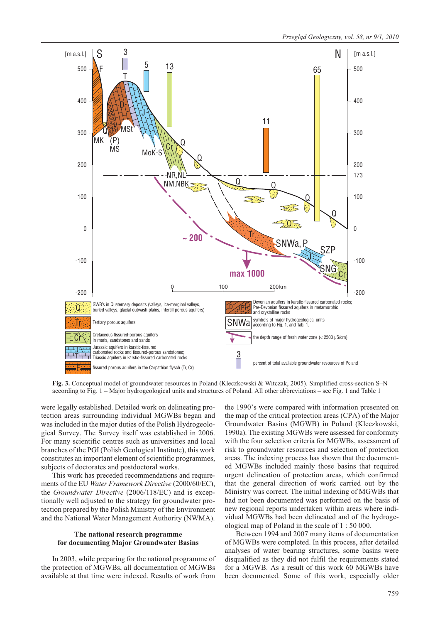

**Fig. 3.** Conceptual model of groundwater resources in Poland (Kleczkowski & Witczak, 2005). Simplified cross-section S–N according to Fig. 1 – Major hydrogeological units and structures of Poland. All other abbreviations – see Fig. 1 and Table 1

were legally established. Detailed work on delineating protection areas surrounding individual MGWBs began and was included in the major duties of the Polish Hydrogeological Survey. The Survey itself was established in 2006. For many scientific centres such as universities and local branches of the PGI (Polish Geological Institute), this work constitutes an important element of scientific programmes, subjects of doctorates and postdoctoral works.

This work has preceded recommendations and requirements of the EU *Water Framework Directive* (2000/60/EC), the *Groundwater Directive* (2006/118/EC) and is exceptionally well adjusted to the strategy for groundwater protection prepared by the Polish Ministry of the Environment and the National Water Management Authority (NWMA).

## **The national research programme for documenting Major Groundwater Basins**

In 2003, while preparing for the national programme of the protection of MGWBs, all documentation of MGWBs available at that time were indexed. Results of work from

the 1990's were compared with information presented on the map of the critical protection areas (CPA) of the Major Groundwater Basins (MGWB) in Poland (Kleczkowski, 1990a). The existing MGWBs were assessed for conformity with the four selection criteria for MGWBs, assessment of risk to groundwater resources and selection of protection areas. The indexing process has shown that the documented MGWBs included mainly those basins that required urgent delineation of protection areas, which confirmed that the general direction of work carried out by the Ministry was correct. The initial indexing of MGWBs that had not been documented was performed on the basis of new regional reports undertaken within areas where individual MGWBs had been delineated and of the hydrogeological map of Poland in the scale of 1 : 50 000.

Between 1994 and 2007 many items of documentation of MGWBs were completed. In this process, after detailed analyses of water bearing structures, some basins were disqualified as they did not fulfil the requirements stated for a MGWB. As a result of this work 60 MGWBs have been documented. Some of this work, especially older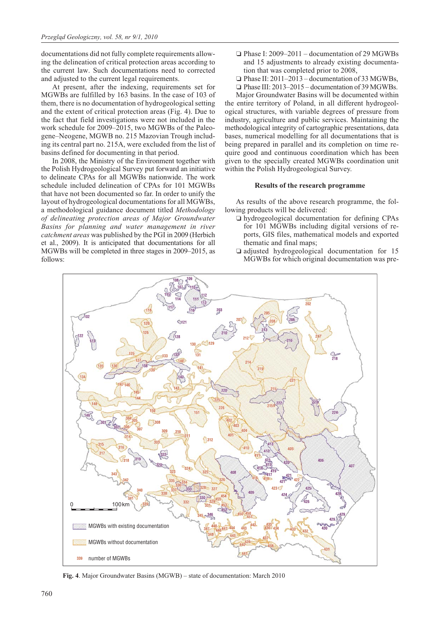documentations did not fully complete requirements allowing the delineation of critical protection areas according to the current law. Such documentations need to corrected and adjusted to the current legal requirements.

At present, after the indexing, requirements set for MGWBs are fulfilled by 163 basins. In the case of 103 of them, there is no documentation of hydrogeological setting and the extent of critical protection areas (Fig. 4). Due to the fact that field investigations were not included in the work schedule for 2009–2015, two MGWBs of the Paleogene–Neogene, MGWB no. 215 Mazovian Trough including its central part no. 215A, were excluded from the list of basins defined for documenting in that period.

In 2008, the Ministry of the Environment together with the Polish Hydrogeological Survey put forward an initiative to delineate CPAs for all MGWBs nationwide. The work schedule included delineation of CPAs for 101 MGWBs that have not been documented so far. In order to unify the layout of hydrogeological documentations for all MGWBs, a methodological guidance document titled *Methodology of delineating protection areas of Major Groundwater Basins for planning and water management in river catchment areas* was published by the PGI in 2009 (Herbich et al., 2009). It is anticipated that documentations for all MGWBs will be completed in three stages in 2009–2015, as follows:

- □ Phase I: 2009-2011 documentation of 29 MGWBs and 15 adjustments to already existing documentation that was completed prior to 2008,
- □ Phase II: 2011–2013 documentation of 33 MGWBs,
- Phase III: 2013–2015 documentation of 39 MGWBs.

Major Groundwater Basins will be documented within the entire territory of Poland, in all different hydrogeological structures, with variable degrees of pressure from industry, agriculture and public services. Maintaining the methodological integrity of cartographic presentations, data bases, numerical modelling for all documentations that is being prepared in parallel and its completion on time require good and continuous coordination which has been given to the specially created MGWBs coordination unit within the Polish Hydrogeological Survey.

## **Results of the research programme**

As results of the above research programme, the following products will be delivered:

- hydrogeological documentation for defining CPAs for 101 MGWBs including digital versions of reports, GIS files, mathematical models and exported thematic and final maps;
- adjusted hydrogeological documentation for 15 MGWBs for which original documentation was pre-



**Fig. 4**. Major Groundwater Basins (MGWB) – state of documentation: March 2010